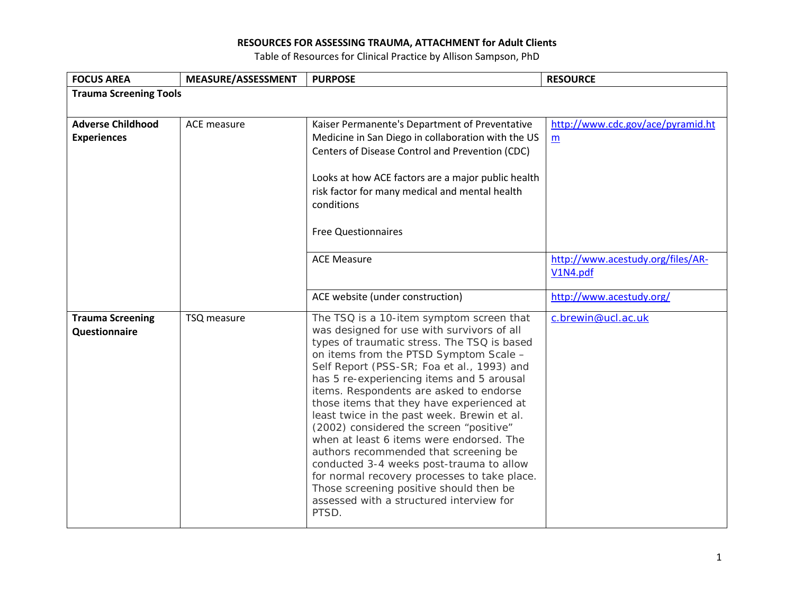| <b>FOCUS AREA</b>             | MEASURE/ASSESSMENT | <b>PURPOSE</b>                                                                           | <b>RESOURCE</b>                   |  |
|-------------------------------|--------------------|------------------------------------------------------------------------------------------|-----------------------------------|--|
| <b>Trauma Screening Tools</b> |                    |                                                                                          |                                   |  |
|                               |                    |                                                                                          |                                   |  |
| <b>Adverse Childhood</b>      | ACE measure        | Kaiser Permanente's Department of Preventative                                           | http://www.cdc.gov/ace/pyramid.ht |  |
| <b>Experiences</b>            |                    | Medicine in San Diego in collaboration with the US                                       | m                                 |  |
|                               |                    | Centers of Disease Control and Prevention (CDC)                                          |                                   |  |
|                               |                    |                                                                                          |                                   |  |
|                               |                    | Looks at how ACE factors are a major public health                                       |                                   |  |
|                               |                    | risk factor for many medical and mental health                                           |                                   |  |
|                               |                    | conditions                                                                               |                                   |  |
|                               |                    |                                                                                          |                                   |  |
|                               |                    | <b>Free Questionnaires</b>                                                               |                                   |  |
|                               |                    | <b>ACE Measure</b>                                                                       | http://www.acestudy.org/files/AR- |  |
|                               |                    |                                                                                          | V1N4.pdf                          |  |
|                               |                    |                                                                                          |                                   |  |
|                               |                    | ACE website (under construction)                                                         | http://www.acestudy.org/          |  |
| <b>Trauma Screening</b>       | TSQ measure        | The TSQ is a 10-item symptom screen that                                                 | c.brewin@ucl.ac.uk                |  |
| Questionnaire                 |                    | was designed for use with survivors of all                                               |                                   |  |
|                               |                    | types of traumatic stress. The TSQ is based                                              |                                   |  |
|                               |                    | on items from the PTSD Symptom Scale -                                                   |                                   |  |
|                               |                    | Self Report (PSS-SR; Foa et al., 1993) and<br>has 5 re-experiencing items and 5 arousal  |                                   |  |
|                               |                    | items. Respondents are asked to endorse                                                  |                                   |  |
|                               |                    | those items that they have experienced at                                                |                                   |  |
|                               |                    | least twice in the past week. Brewin et al.                                              |                                   |  |
|                               |                    | (2002) considered the screen "positive"                                                  |                                   |  |
|                               |                    | when at least 6 items were endorsed. The                                                 |                                   |  |
|                               |                    | authors recommended that screening be                                                    |                                   |  |
|                               |                    | conducted 3-4 weeks post-trauma to allow<br>for normal recovery processes to take place. |                                   |  |
|                               |                    | Those screening positive should then be                                                  |                                   |  |
|                               |                    | assessed with a structured interview for                                                 |                                   |  |
|                               |                    | PTSD.                                                                                    |                                   |  |
|                               |                    |                                                                                          |                                   |  |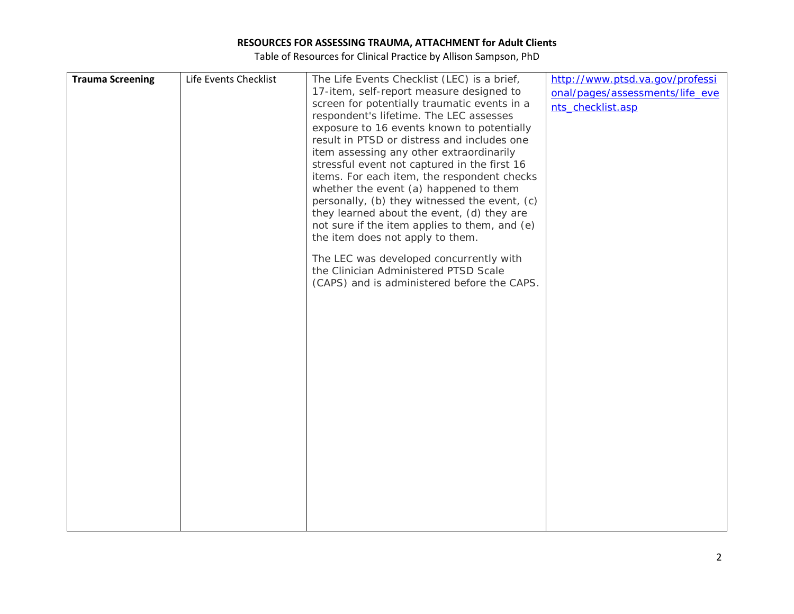| <b>Trauma Screening</b> | Life Events Checklist | The Life Events Checklist (LEC) is a brief,   | http://www.ptsd.va.gov/professi |
|-------------------------|-----------------------|-----------------------------------------------|---------------------------------|
|                         |                       | 17-item, self-report measure designed to      | onal/pages/assessments/life_eve |
|                         |                       | screen for potentially traumatic events in a  | nts_checklist.asp               |
|                         |                       | respondent's lifetime. The LEC assesses       |                                 |
|                         |                       | exposure to 16 events known to potentially    |                                 |
|                         |                       | result in PTSD or distress and includes one   |                                 |
|                         |                       | item assessing any other extraordinarily      |                                 |
|                         |                       | stressful event not captured in the first 16  |                                 |
|                         |                       | items. For each item, the respondent checks   |                                 |
|                         |                       | whether the event (a) happened to them        |                                 |
|                         |                       | personally, (b) they witnessed the event, (c) |                                 |
|                         |                       | they learned about the event, (d) they are    |                                 |
|                         |                       | not sure if the item applies to them, and (e) |                                 |
|                         |                       | the item does not apply to them.              |                                 |
|                         |                       | The LEC was developed concurrently with       |                                 |
|                         |                       | the Clinician Administered PTSD Scale         |                                 |
|                         |                       | (CAPS) and is administered before the CAPS.   |                                 |
|                         |                       |                                               |                                 |
|                         |                       |                                               |                                 |
|                         |                       |                                               |                                 |
|                         |                       |                                               |                                 |
|                         |                       |                                               |                                 |
|                         |                       |                                               |                                 |
|                         |                       |                                               |                                 |
|                         |                       |                                               |                                 |
|                         |                       |                                               |                                 |
|                         |                       |                                               |                                 |
|                         |                       |                                               |                                 |
|                         |                       |                                               |                                 |
|                         |                       |                                               |                                 |
|                         |                       |                                               |                                 |
|                         |                       |                                               |                                 |
|                         |                       |                                               |                                 |
|                         |                       |                                               |                                 |
|                         |                       |                                               |                                 |
|                         |                       |                                               |                                 |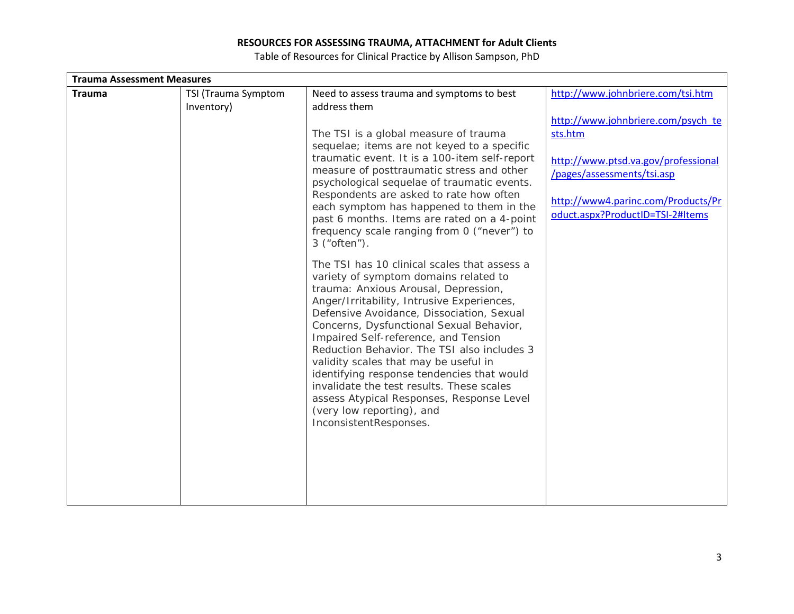| <b>Trauma Assessment Measures</b> |                     |                                                                                        |                                     |  |
|-----------------------------------|---------------------|----------------------------------------------------------------------------------------|-------------------------------------|--|
| <b>Trauma</b>                     | TSI (Trauma Symptom | Need to assess trauma and symptoms to best                                             | http://www.johnbriere.com/tsi.htm   |  |
|                                   | Inventory)          | address them                                                                           |                                     |  |
|                                   |                     |                                                                                        | http://www.johnbriere.com/psych_te  |  |
|                                   |                     | The TSI is a global measure of trauma                                                  | sts.htm                             |  |
|                                   |                     | sequelae; items are not keyed to a specific                                            |                                     |  |
|                                   |                     | traumatic event. It is a 100-item self-report                                          | http://www.ptsd.va.gov/professional |  |
|                                   |                     | measure of posttraumatic stress and other                                              | /pages/assessments/tsi.asp          |  |
|                                   |                     | psychological sequelae of traumatic events.<br>Respondents are asked to rate how often |                                     |  |
|                                   |                     | each symptom has happened to them in the                                               | http://www4.parinc.com/Products/Pr  |  |
|                                   |                     | past 6 months. Items are rated on a 4-point                                            | oduct.aspx?ProductID=TSI-2#Items    |  |
|                                   |                     | frequency scale ranging from 0 ("never") to                                            |                                     |  |
|                                   |                     | $3$ ("often").                                                                         |                                     |  |
|                                   |                     | The TSI has 10 clinical scales that assess a                                           |                                     |  |
|                                   |                     | variety of symptom domains related to                                                  |                                     |  |
|                                   |                     | trauma: Anxious Arousal, Depression,                                                   |                                     |  |
|                                   |                     | Anger/Irritability, Intrusive Experiences,                                             |                                     |  |
|                                   |                     | Defensive Avoidance, Dissociation, Sexual                                              |                                     |  |
|                                   |                     | Concerns, Dysfunctional Sexual Behavior,                                               |                                     |  |
|                                   |                     | Impaired Self-reference, and Tension                                                   |                                     |  |
|                                   |                     | Reduction Behavior. The TSI also includes 3                                            |                                     |  |
|                                   |                     | validity scales that may be useful in<br>identifying response tendencies that would    |                                     |  |
|                                   |                     | invalidate the test results. These scales                                              |                                     |  |
|                                   |                     | assess Atypical Responses, Response Level                                              |                                     |  |
|                                   |                     | (very low reporting), and                                                              |                                     |  |
|                                   |                     | InconsistentResponses.                                                                 |                                     |  |
|                                   |                     |                                                                                        |                                     |  |
|                                   |                     |                                                                                        |                                     |  |
|                                   |                     |                                                                                        |                                     |  |
|                                   |                     |                                                                                        |                                     |  |
|                                   |                     |                                                                                        |                                     |  |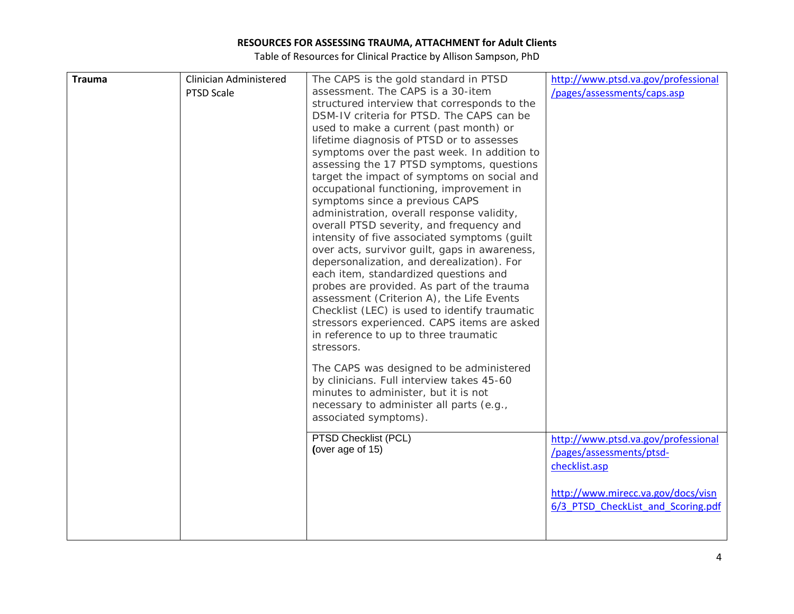| <b>Trauma</b> | Clinician Administered | The CAPS is the gold standard in PTSD         | http://www.ptsd.va.gov/professional |
|---------------|------------------------|-----------------------------------------------|-------------------------------------|
|               | PTSD Scale             | assessment. The CAPS is a 30-item             | /pages/assessments/caps.asp         |
|               |                        | structured interview that corresponds to the  |                                     |
|               |                        | DSM-IV criteria for PTSD. The CAPS can be     |                                     |
|               |                        | used to make a current (past month) or        |                                     |
|               |                        | lifetime diagnosis of PTSD or to assesses     |                                     |
|               |                        | symptoms over the past week. In addition to   |                                     |
|               |                        | assessing the 17 PTSD symptoms, questions     |                                     |
|               |                        | target the impact of symptoms on social and   |                                     |
|               |                        | occupational functioning, improvement in      |                                     |
|               |                        | symptoms since a previous CAPS                |                                     |
|               |                        | administration, overall response validity,    |                                     |
|               |                        | overall PTSD severity, and frequency and      |                                     |
|               |                        | intensity of five associated symptoms (guilt  |                                     |
|               |                        | over acts, survivor guilt, gaps in awareness, |                                     |
|               |                        | depersonalization, and derealization). For    |                                     |
|               |                        | each item, standardized questions and         |                                     |
|               |                        | probes are provided. As part of the trauma    |                                     |
|               |                        | assessment (Criterion A), the Life Events     |                                     |
|               |                        | Checklist (LEC) is used to identify traumatic |                                     |
|               |                        | stressors experienced. CAPS items are asked   |                                     |
|               |                        | in reference to up to three traumatic         |                                     |
|               |                        | stressors.                                    |                                     |
|               |                        | The CAPS was designed to be administered      |                                     |
|               |                        | by clinicians. Full interview takes 45-60     |                                     |
|               |                        | minutes to administer, but it is not          |                                     |
|               |                        | necessary to administer all parts (e.g.,      |                                     |
|               |                        | associated symptoms).                         |                                     |
|               |                        | PTSD Checklist (PCL)                          |                                     |
|               |                        | (over age of 15)                              | http://www.ptsd.va.gov/professional |
|               |                        |                                               | /pages/assessments/ptsd-            |
|               |                        |                                               | checklist.asp                       |
|               |                        |                                               | http://www.mirecc.va.gov/docs/visn  |
|               |                        |                                               | 6/3 PTSD CheckList and Scoring.pdf  |
|               |                        |                                               |                                     |
|               |                        |                                               |                                     |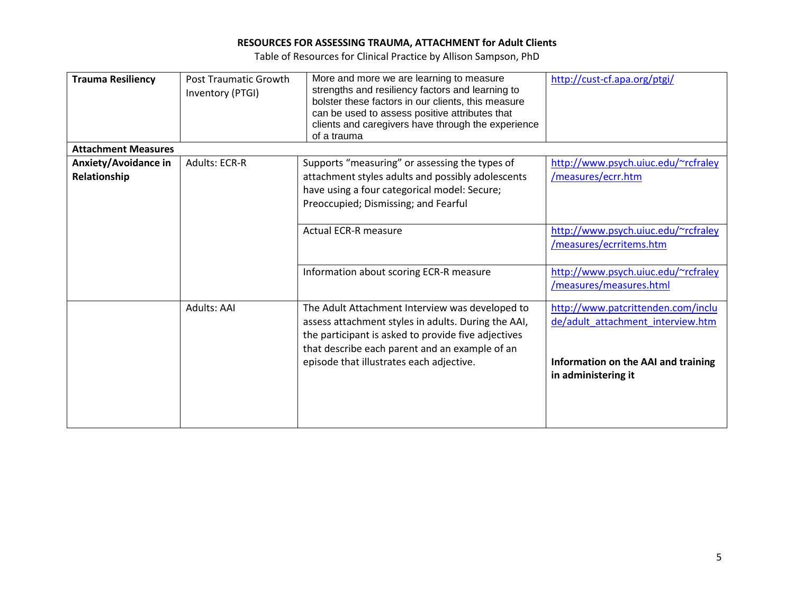| <b>Trauma Resiliency</b>    | <b>Post Traumatic Growth</b> | More and more we are learning to measure                          | http://cust-cf.apa.org/ptgi/        |
|-----------------------------|------------------------------|-------------------------------------------------------------------|-------------------------------------|
|                             | Inventory (PTGI)             | strengths and resiliency factors and learning to                  |                                     |
|                             |                              | bolster these factors in our clients, this measure                |                                     |
|                             |                              | can be used to assess positive attributes that                    |                                     |
|                             |                              | clients and caregivers have through the experience<br>of a trauma |                                     |
|                             |                              |                                                                   |                                     |
| <b>Attachment Measures</b>  |                              |                                                                   |                                     |
| <b>Anxiety/Avoidance in</b> | <b>Adults: ECR-R</b>         | Supports "measuring" or assessing the types of                    | http://www.psych.uiuc.edu/~rcfraley |
| Relationship                |                              | attachment styles adults and possibly adolescents                 | /measures/ecrr.htm                  |
|                             |                              | have using a four categorical model: Secure;                      |                                     |
|                             |                              | Preoccupied; Dismissing; and Fearful                              |                                     |
|                             |                              |                                                                   |                                     |
|                             |                              | <b>Actual ECR-R measure</b>                                       | http://www.psych.uiuc.edu/~rcfraley |
|                             |                              |                                                                   | /measures/ecrritems.htm             |
|                             |                              |                                                                   |                                     |
|                             |                              | Information about scoring ECR-R measure                           | http://www.psych.uiuc.edu/~rcfraley |
|                             |                              |                                                                   | /measures/measures.html             |
|                             |                              |                                                                   |                                     |
|                             | Adults: AAI                  | The Adult Attachment Interview was developed to                   | http://www.patcrittenden.com/inclu  |
|                             |                              | assess attachment styles in adults. During the AAI,               | de/adult attachment interview.htm   |
|                             |                              | the participant is asked to provide five adjectives               |                                     |
|                             |                              | that describe each parent and an example of an                    |                                     |
|                             |                              |                                                                   |                                     |
|                             |                              | episode that illustrates each adjective.                          | Information on the AAI and training |
|                             |                              |                                                                   | in administering it                 |
|                             |                              |                                                                   |                                     |
|                             |                              |                                                                   |                                     |
|                             |                              |                                                                   |                                     |
|                             |                              |                                                                   |                                     |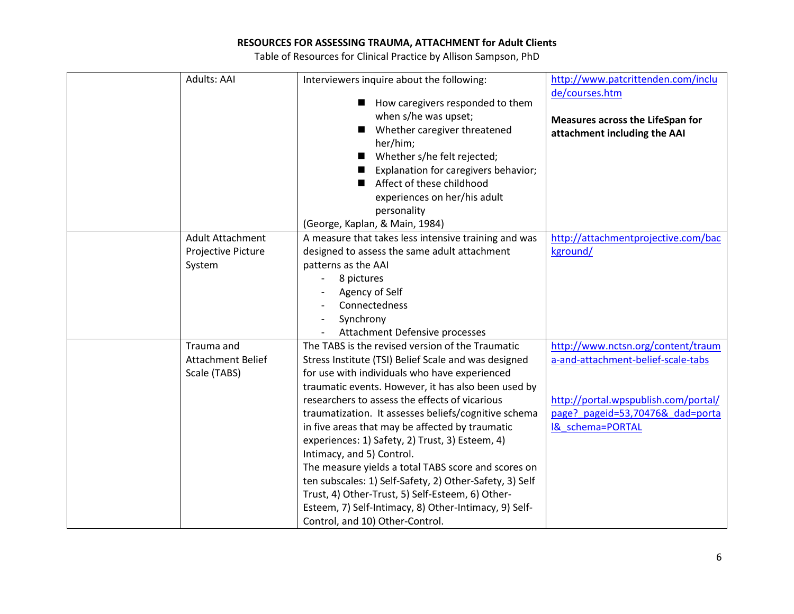| Adults: AAI                                            | Interviewers inquire about the following:<br>How caregivers responded to them<br>when s/he was upset;<br>Whether caregiver threatened<br>$\blacksquare$<br>her/him;<br>Whether s/he felt rejected;<br>Explanation for caregivers behavior;<br>Affect of these childhood<br>■<br>experiences on her/his adult<br>personality                                                                                                                                                                                                                                                                                                                                                                                                     | http://www.patcrittenden.com/inclu<br>de/courses.htm<br>Measures across the LifeSpan for<br>attachment including the AAI                                                            |
|--------------------------------------------------------|---------------------------------------------------------------------------------------------------------------------------------------------------------------------------------------------------------------------------------------------------------------------------------------------------------------------------------------------------------------------------------------------------------------------------------------------------------------------------------------------------------------------------------------------------------------------------------------------------------------------------------------------------------------------------------------------------------------------------------|-------------------------------------------------------------------------------------------------------------------------------------------------------------------------------------|
| Adult Attachment<br>Projective Picture<br>System       | (George, Kaplan, & Main, 1984)<br>A measure that takes less intensive training and was<br>designed to assess the same adult attachment<br>patterns as the AAI<br>8 pictures<br>Agency of Self<br>Connectedness<br>Synchrony<br>Attachment Defensive processes                                                                                                                                                                                                                                                                                                                                                                                                                                                                   | http://attachmentprojective.com/bac<br>kground/                                                                                                                                     |
| Trauma and<br><b>Attachment Belief</b><br>Scale (TABS) | The TABS is the revised version of the Traumatic<br>Stress Institute (TSI) Belief Scale and was designed<br>for use with individuals who have experienced<br>traumatic events. However, it has also been used by<br>researchers to assess the effects of vicarious<br>traumatization. It assesses beliefs/cognitive schema<br>in five areas that may be affected by traumatic<br>experiences: 1) Safety, 2) Trust, 3) Esteem, 4)<br>Intimacy, and 5) Control.<br>The measure yields a total TABS score and scores on<br>ten subscales: 1) Self-Safety, 2) Other-Safety, 3) Self<br>Trust, 4) Other-Trust, 5) Self-Esteem, 6) Other-<br>Esteem, 7) Self-Intimacy, 8) Other-Intimacy, 9) Self-<br>Control, and 10) Other-Control. | http://www.nctsn.org/content/traum<br>a-and-attachment-belief-scale-tabs<br>http://portal.wpspublish.com/portal/<br>page?_pageid=53,70476&_dad=porta<br><b>I&amp; schema=PORTAL</b> |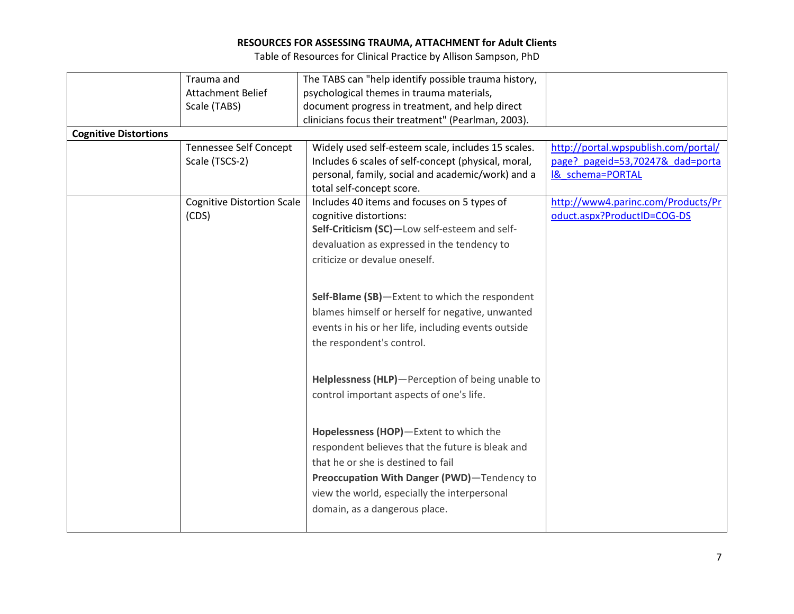|                              | Trauma and                        | The TABS can "help identify possible trauma history, |                                      |
|------------------------------|-----------------------------------|------------------------------------------------------|--------------------------------------|
|                              | <b>Attachment Belief</b>          | psychological themes in trauma materials,            |                                      |
|                              | Scale (TABS)                      | document progress in treatment, and help direct      |                                      |
|                              |                                   | clinicians focus their treatment" (Pearlman, 2003).  |                                      |
| <b>Cognitive Distortions</b> |                                   |                                                      |                                      |
|                              | <b>Tennessee Self Concept</b>     | Widely used self-esteem scale, includes 15 scales.   | http://portal.wpspublish.com/portal/ |
|                              | Scale (TSCS-2)                    | Includes 6 scales of self-concept (physical, moral,  | page?_pageid=53,70247&_dad=porta     |
|                              |                                   | personal, family, social and academic/work) and a    | I& schema=PORTAL                     |
|                              |                                   | total self-concept score.                            |                                      |
|                              | <b>Cognitive Distortion Scale</b> | Includes 40 items and focuses on 5 types of          | http://www4.parinc.com/Products/Pr   |
|                              | (CDS)                             | cognitive distortions:                               | oduct.aspx?ProductID=COG-DS          |
|                              |                                   | Self-Criticism (SC)-Low self-esteem and self-        |                                      |
|                              |                                   | devaluation as expressed in the tendency to          |                                      |
|                              |                                   | criticize or devalue oneself.                        |                                      |
|                              |                                   |                                                      |                                      |
|                              |                                   | Self-Blame (SB)-Extent to which the respondent       |                                      |
|                              |                                   | blames himself or herself for negative, unwanted     |                                      |
|                              |                                   | events in his or her life, including events outside  |                                      |
|                              |                                   |                                                      |                                      |
|                              |                                   | the respondent's control.                            |                                      |
|                              |                                   |                                                      |                                      |
|                              |                                   | Helplessness (HLP)-Perception of being unable to     |                                      |
|                              |                                   | control important aspects of one's life.             |                                      |
|                              |                                   |                                                      |                                      |
|                              |                                   |                                                      |                                      |
|                              |                                   | Hopelessness (HOP)-Extent to which the               |                                      |
|                              |                                   | respondent believes that the future is bleak and     |                                      |
|                              |                                   | that he or she is destined to fail                   |                                      |
|                              |                                   | Preoccupation With Danger (PWD)-Tendency to          |                                      |
|                              |                                   | view the world, especially the interpersonal         |                                      |
|                              |                                   | domain, as a dangerous place.                        |                                      |
|                              |                                   |                                                      |                                      |
|                              |                                   |                                                      |                                      |